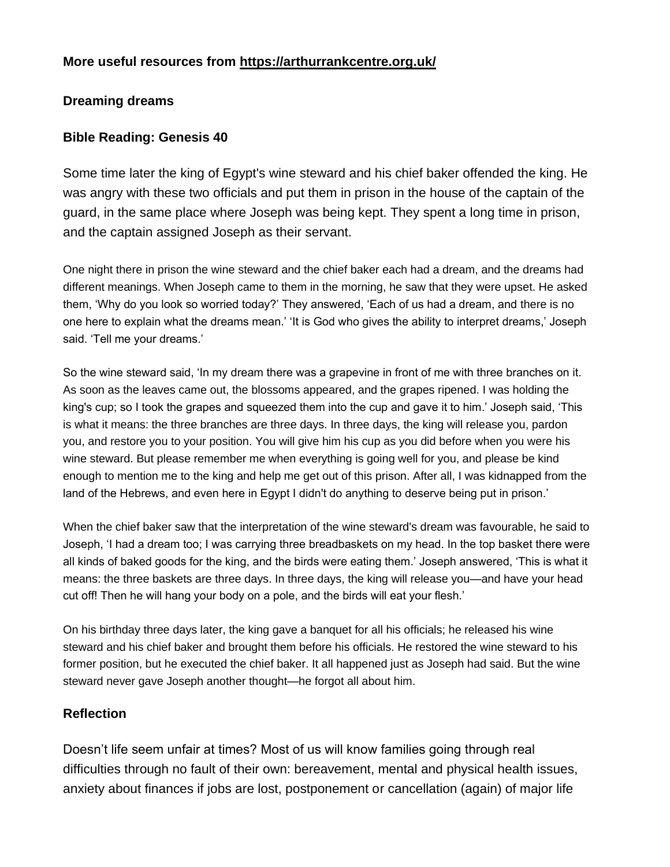## **More useful resources from https://arthurrankcentre.org.uk/**

#### **Dreaming dreams**

### **Bible Reading: Genesis 40**

Some time later the king of Egypt's wine steward and his chief baker offended the king. He was angry with these two officials and put them in prison in the house of the captain of the guard, in the same place where Joseph was being kept. They spent a long time in prison, and the captain assigned Joseph as their servant.

One night there in prison the wine steward and the chief baker each had a dream, and the dreams had different meanings. When Joseph came to them in the morning, he saw that they were upset. He asked them, 'Why do you look so worried today?' They answered, 'Each of us had a dream, and there is no one here to explain what the dreams mean.' 'It is God who gives the ability to interpret dreams,' Joseph said. 'Tell me your dreams.'

So the wine steward said, 'In my dream there was a grapevine in front of me with three branches on it. As soon as the leaves came out, the blossoms appeared, and the grapes ripened. I was holding the king's cup; so I took the grapes and squeezed them into the cup and gave it to him.' Joseph said, 'This is what it means: the three branches are three days. In three days, the king will release you, pardon you, and restore you to your position. You will give him his cup as you did before when you were his wine steward. But please remember me when everything is going well for you, and please be kind enough to mention me to the king and help me get out of this prison. After all, I was kidnapped from the land of the Hebrews, and even here in Egypt I didn't do anything to deserve being put in prison.'

When the chief baker saw that the interpretation of the wine steward's dream was favourable, he said to Joseph, 'I had a dream too; I was carrying three breadbaskets on my head. In the top basket there were all kinds of baked goods for the king, and the birds were eating them.' Joseph answered, 'This is what it means: the three baskets are three days. In three days, the king will release you—and have your head cut off! Then he will hang your body on a pole, and the birds will eat your flesh.'

On his birthday three days later, the king gave a banquet for all his officials; he released his wine steward and his chief baker and brought them before his officials. He restored the wine steward to his former position, but he executed the chief baker. It all happened just as Joseph had said. But the wine steward never gave Joseph another thought—he forgot all about him.

#### **Reflection**

Doesn't life seem unfair at times? Most of us will know families going through real difficulties through no fault of their own: bereavement, mental and physical health issues, anxiety about finances if jobs are lost, postponement or cancellation (again) of major life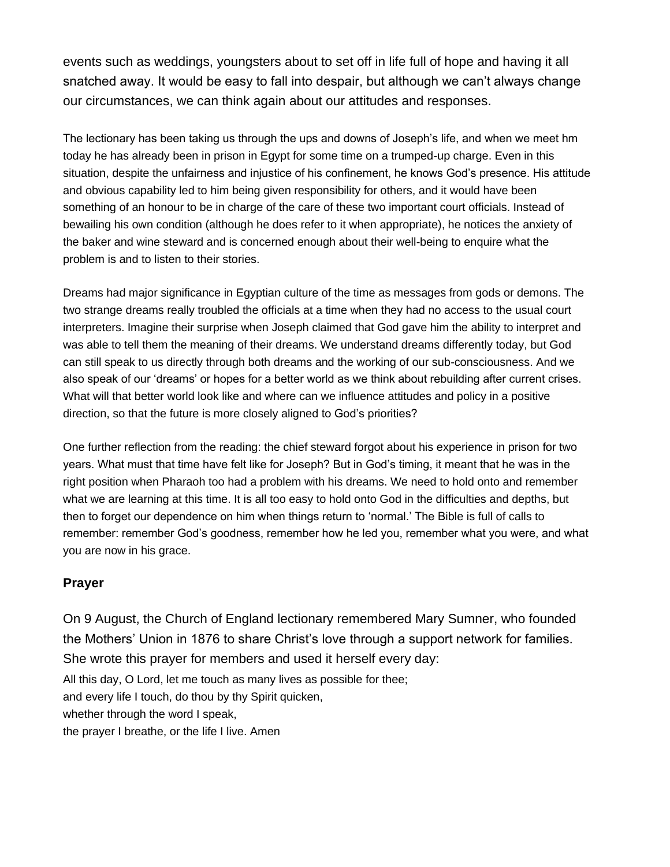events such as weddings, youngsters about to set off in life full of hope and having it all snatched away. It would be easy to fall into despair, but although we can't always change our circumstances, we can think again about our attitudes and responses.

The lectionary has been taking us through the ups and downs of Joseph's life, and when we meet hm today he has already been in prison in Egypt for some time on a trumped-up charge. Even in this situation, despite the unfairness and injustice of his confinement, he knows God's presence. His attitude and obvious capability led to him being given responsibility for others, and it would have been something of an honour to be in charge of the care of these two important court officials. Instead of bewailing his own condition (although he does refer to it when appropriate), he notices the anxiety of the baker and wine steward and is concerned enough about their well-being to enquire what the problem is and to listen to their stories.

Dreams had major significance in Egyptian culture of the time as messages from gods or demons. The two strange dreams really troubled the officials at a time when they had no access to the usual court interpreters. Imagine their surprise when Joseph claimed that God gave him the ability to interpret and was able to tell them the meaning of their dreams. We understand dreams differently today, but God can still speak to us directly through both dreams and the working of our sub-consciousness. And we also speak of our 'dreams' or hopes for a better world as we think about rebuilding after current crises. What will that better world look like and where can we influence attitudes and policy in a positive direction, so that the future is more closely aligned to God's priorities?

One further reflection from the reading: the chief steward forgot about his experience in prison for two years. What must that time have felt like for Joseph? But in God's timing, it meant that he was in the right position when Pharaoh too had a problem with his dreams. We need to hold onto and remember what we are learning at this time. It is all too easy to hold onto God in the difficulties and depths, but then to forget our dependence on him when things return to 'normal.' The Bible is full of calls to remember: remember God's goodness, remember how he led you, remember what you were, and what you are now in his grace.

# **Prayer**

On 9 August, the Church of England lectionary remembered Mary Sumner, who founded the Mothers' Union in 1876 to share Christ's love through a support network for families. She wrote this prayer for members and used it herself every day:

All this day, O Lord, let me touch as many lives as possible for thee; and every life I touch, do thou by thy Spirit quicken, whether through the word I speak, the prayer I breathe, or the life I live. Amen